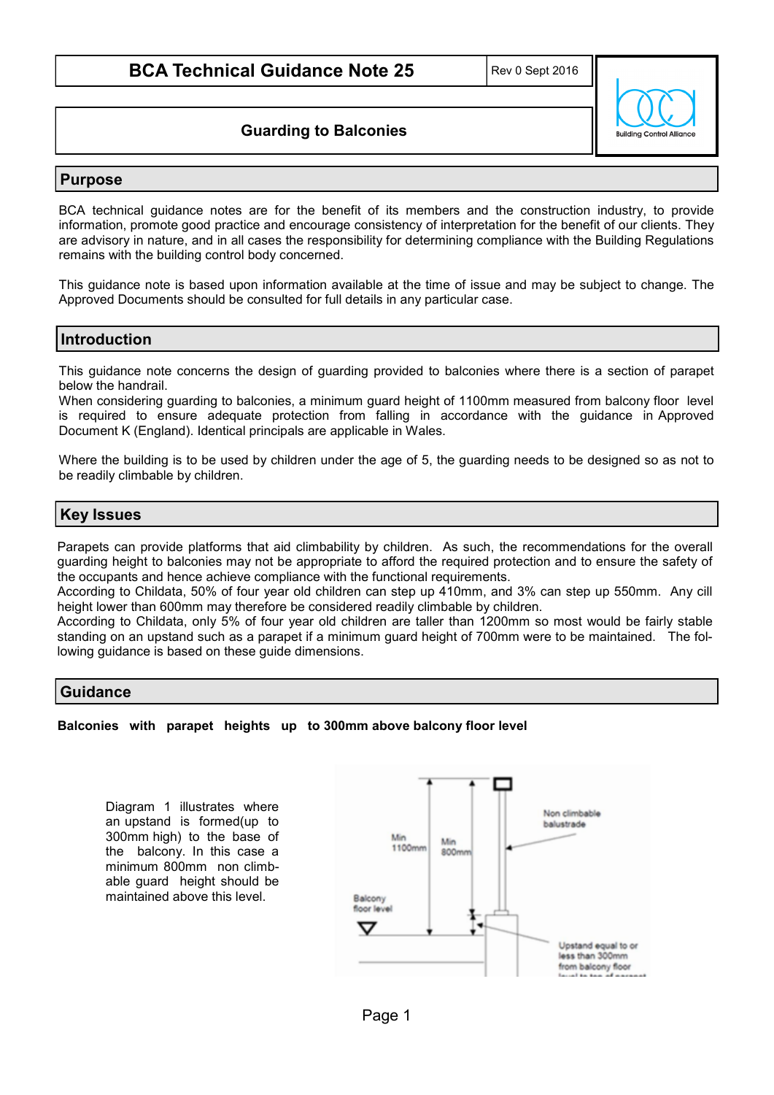**Guarding to Balconies**

# **Building Control Allianc**

# **Purpose**

BCA technical guidance notes are for the benefit of its members and the construction industry, to provide information, promote good practice and encourage consistency of interpretation for the benefit of our clients. They are advisory in nature, and in all cases the responsibility for determining compliance with the Building Regulations remains with the building control body concerned.

This guidance note is based upon information available at the time of issue and may be subject to change. The Approved Documents should be consulted for full details in any particular case.

# **Introduction**

This guidance note concerns the design of guarding provided to balconies where there is a section of parapet below the handrail.

When considering guarding to balconies, a minimum guard height of 1100mm measured from balcony floor level is required to ensure adequate protection from falling in accordance with the guidance in Approved Document K (England). Identical principals are applicable in Wales.

Where the building is to be used by children under the age of 5, the guarding needs to be designed so as not to be readily climbable by children.

# **Key Issues**

Parapets can provide platforms that aid climbability by children. As such, the recommendations for the overall guarding height to balconies may not be appropriate to afford the required protection and to ensure the safety of the occupants and hence achieve compliance with the functional requirements.

According to Childata, 50% of four year old children can step up 410mm, and 3% can step up 550mm. Any cill height lower than 600mm may therefore be considered readily climbable by children.

According to Childata, only 5% of four year old children are taller than 1200mm so most would be fairly stable standing on an upstand such as a parapet if a minimum guard height of 700mm were to be maintained. The following guidance is based on these guide dimensions.

### **Guidance**

### **Balconies with parapet heights up to 300mm above balcony floor level**

Diagram 1 illustrates where an upstand is formed(up to 300mm high) to the base of the balcony. In this case a minimum 800mm non climbable guard height should be maintained above this level.